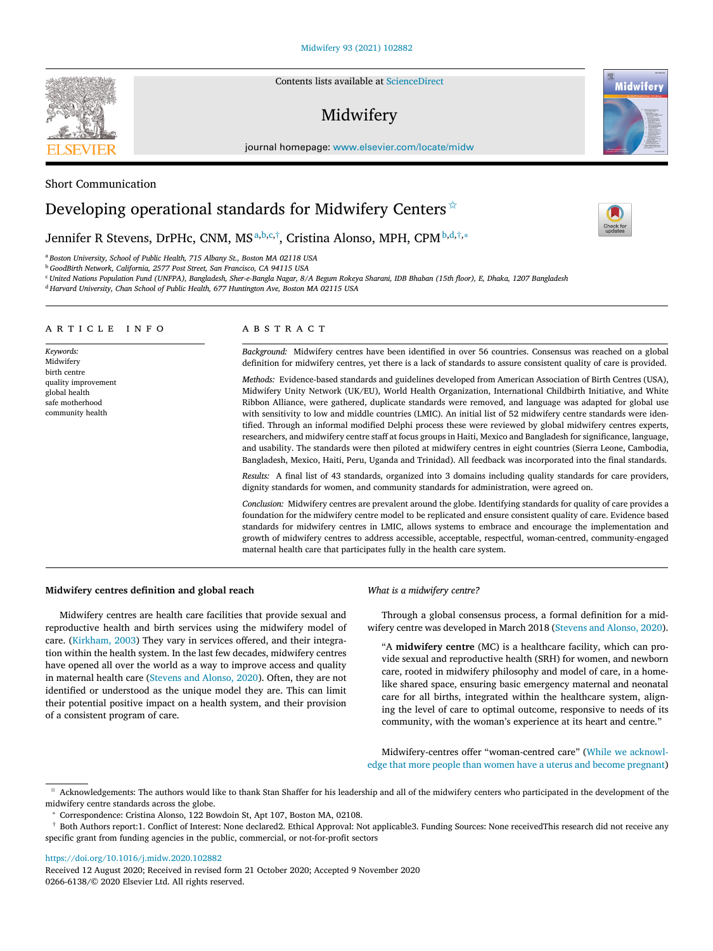#### [Midwifery](https://doi.org/10.1016/j.midw.2020.102882) 93 (2021) 102882

Contents lists available at [ScienceDirect](http://www.ScienceDirect.com)

# Midwifery

journal homepage: [www.elsevier.com/locate/midw](http://www.elsevier.com/locate/midw)

### Short Communication

## Developing operational standards for Midwifery Centers  $\dot{\mathbf{x}}$

## Jennifer R Stevens, DrPHc, CNM, MS<sup>a,b,c,†</sup>, Cristina Alonso, MPH, CPM<sup>b,d,†,</sup>\*

<sup>a</sup> *Boston University, School of Public Health, 715 Albany St., Boston MA 02118 USA*

<sup>b</sup> *GoodBirth Network, California, 2577 Post Street, San Francisco, CA 94115 USA*

" United Nations Population Fund (UNFPA), Bangladesh, Sher-e-Bangla Nagar, 8/A Begum Rokeya Sharani, IDB Bhaban (15th floor), E, Dhaka, 1207 Bangladesh

<sup>d</sup> *Harvard University, Chan School of Public Health, 677 Huntington Ave, Boston MA 02115 USA*

#### a r t i c l e i n f o

*Keywords:* Midwifery birth centre quality improvement global health safe motherhood community health

#### a b s t r a c t

*Background:* Midwifery centres have been identified in over 56 countries. Consensus was reached on a global definition for midwifery centres, yet there is a lack of standards to assure consistent quality of care is provided.

*Methods:* Evidence-based standards and guidelines developed from American Association of Birth Centres (USA), Midwifery Unity Network (UK/EU), World Health Organization, International Childbirth Initiative, and White Ribbon Alliance, were gathered, duplicate standards were removed, and language was adapted for global use with sensitivity to low and middle countries (LMIC). An initial list of 52 midwifery centre standards were identified. Through an informal modified Delphi process these were reviewed by global midwifery centres experts, researchers, and midwifery centre staff at focus groups in Haiti, Mexico and Bangladesh for significance, language, and usability. The standards were then piloted at midwifery centres in eight countries (Sierra Leone, Cambodia, Bangladesh, Mexico, Haiti, Peru, Uganda and Trinidad). All feedback was incorporated into the final standards.

*Results:* A final list of 43 standards, organized into 3 domains including quality standards for care providers, dignity standards for women, and community standards for administration, were agreed on.

*Conclusion:* Midwifery centres are prevalent around the globe. Identifying standards for quality of care provides a foundation for the midwifery centre model to be replicated and ensure consistent quality of care. Evidence based standards for midwifery centres in LMIC, allows systems to embrace and encourage the implementation and growth of midwifery centres to address accessible, acceptable, respectful, woman-centred, community-engaged maternal health care that participates fully in the health care system.

#### **Midwifery centres definition and global reach**

Midwifery centres are health care facilities that provide sexual and reproductive health and birth services using the midwifery model of care. [\(Kirkham,](#page-3-0) 2003) They vary in services offered, and their integration within the health system. In the last few decades, midwifery centres have opened all over the world as a way to improve access and quality in maternal health care [\(Stevens](#page-3-0) and Alonso, 2020). Often, they are not identified or understood as the unique model they are. This can limit their potential positive impact on a health system, and their provision of a consistent program of care.

#### *What is a midwifery centre?*

Through a global consensus process, a formal definition for a midwifery centre was developed in March 2018 [\(Stevens](#page-3-0) and Alonso, 2020).

"A **midwifery centre** (MC) is a healthcare facility, which can provide sexual and reproductive health (SRH) for women, and newborn care, rooted in midwifery philosophy and model of care, in a homelike shared space, ensuring basic emergency maternal and neonatal care for all births, integrated within the healthcare system, aligning the level of care to optimal outcome, responsive to needs of its community, with the woman's experience at its heart and centre."

[Midwifery-centres](#page-3-0) offer "woman-centred care" (While we acknowledge that more people than women have a uterus and become pregnant)

✩ Acknowledgements: The authors would like to thank Stan Shaffer for his leadership and all of the midwifery centers who participated in the development of the midwifery centre standards across the globe.

<sup>∗</sup> Correspondence: Cristina Alonso, 122 Bowdoin St, Apt 107, Boston MA, 02108.

<https://doi.org/10.1016/j.midw.2020.102882>

Received 12 August 2020; Received in revised form 21 October 2020; Accepted 9 November 2020 0266-6138/© 2020 Elsevier Ltd. All rights reserved.







<sup>†</sup> Both Authors report:1. Conflict of Interest: None declared2. Ethical Approval: Not applicable3. Funding Sources: None receivedThis research did not receive any specific grant from funding agencies in the public, commercial, or not-for-profit sectors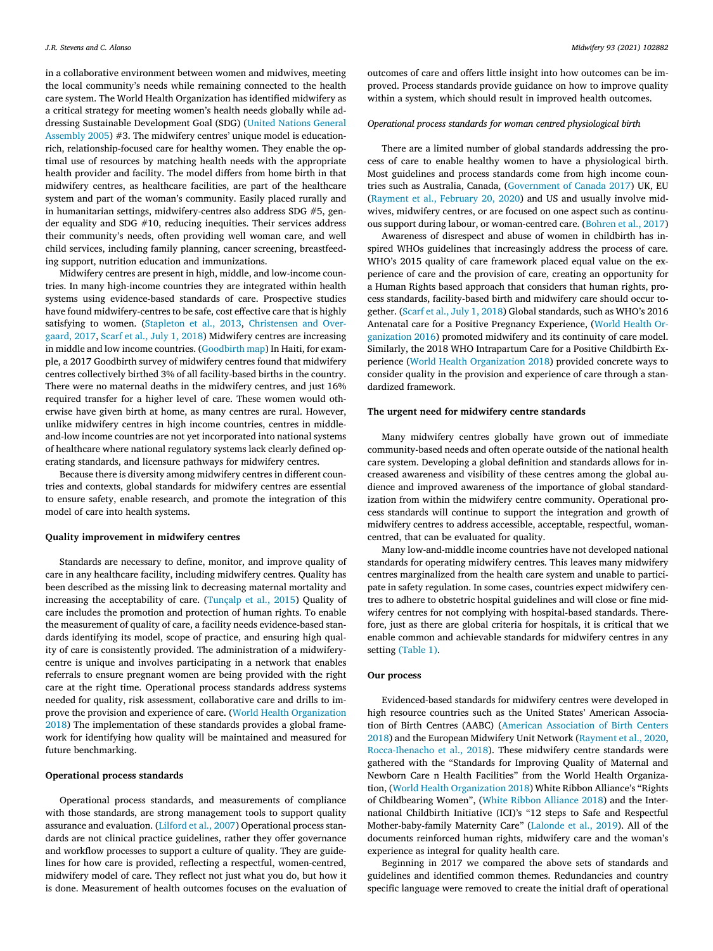in a collaborative environment between women and midwives, meeting the local community's needs while remaining connected to the health care system. The World Health Organization has identified midwifery as a critical strategy for meeting women's health needs globally while addressing Sustainable [Development](#page-3-0) Goal (SDG) (United Nations General Assembly 2005) #3. The midwifery centres' unique model is educationrich, relationship-focused care for healthy women. They enable the optimal use of resources by matching health needs with the appropriate health provider and facility. The model differs from home birth in that midwifery centres, as healthcare facilities, are part of the healthcare system and part of the woman's community. Easily placed rurally and in humanitarian settings, midwifery-centres also address SDG #5, gender equality and SDG #10, reducing inequities. Their services address their community's needs, often providing well woman care, and well child services, including family planning, cancer screening, breastfeeding support, nutrition education and immunizations.

Midwifery centres are present in high, middle, and low-income countries. In many high-income countries they are integrated within health systems using evidence-based standards of care. Prospective studies have found midwifery-centres to be safe, cost effective care that is highly satisfying to women. [\(Stapleton](#page-3-0) et al., 2013, [Christensen](#page-3-0) and Overgaard, 2017, Scarf et al., July 1, [2018\)](#page-3-0) Midwifery centres are increasing in middle and low income countries. [\(Goodbirth](#page-4-0) map) In Haiti, for example, a 2017 Goodbirth survey of midwifery centres found that midwifery centres collectively birthed 3% of all facility-based births in the country. There were no maternal deaths in the midwifery centres, and just 16% required transfer for a higher level of care. These women would otherwise have given birth at home, as many centres are rural. However, unlike midwifery centres in high income countries, centres in middleand-low income countries are not yet incorporated into national systems of healthcare where national regulatory systems lack clearly defined operating standards, and licensure pathways for midwifery centres.

Because there is diversity among midwifery centres in different countries and contexts, global standards for midwifery centres are essential to ensure safety, enable research, and promote the integration of this model of care into health systems.

#### **Quality improvement in midwifery centres**

Standards are necessary to define, monitor, and improve quality of care in any healthcare facility, including midwifery centres. Quality has been described as the missing link to decreasing maternal mortality and increasing the acceptability of care. [\(Tunçalp](#page-4-0) et al., 2015) Quality of care includes the promotion and protection of human rights. To enable the measurement of quality of care, a facility needs evidence-based standards identifying its model, scope of practice, and ensuring high quality of care is consistently provided. The administration of a midwiferycentre is unique and involves participating in a network that enables referrals to ensure pregnant women are being provided with the right care at the right time. Operational process standards address systems needed for quality, risk assessment, collaborative care and drills to improve the provision and experience of care. (World Health Organization 2018) The [implementation](#page-4-0) of these standards provides a global framework for identifying how quality will be maintained and measured for future benchmarking.

#### **Operational process standards**

Operational process standards, and measurements of compliance with those standards, are strong management tools to support quality assurance and evaluation. [\(Lilford](#page-4-0) et al., 2007) Operational process standards are not clinical practice guidelines, rather they offer governance and workflow processes to support a culture of quality. They are guidelines for how care is provided, reflecting a respectful, women-centred, midwifery model of care. They reflect not just what you do, but how it is done. Measurement of health outcomes focuses on the evaluation of

outcomes of care and offers little insight into how outcomes can be improved. Process standards provide guidance on how to improve quality within a system, which should result in improved health outcomes.

#### *Operational process standards for woman centred physiological birth*

There are a limited number of global standards addressing the process of care to enable healthy women to have a physiological birth. Most guidelines and process standards come from high income countries such as Australia, Canada, [\(Government](#page-4-0) of Canada 2017) UK, EU [\(Rayment](#page-4-0) et al., February 20, 2020) and US and usually involve midwives, midwifery centres, or are focused on one aspect such as continuous support during labour, or woman-centred care. [\(Bohren](#page-4-0) et al., 2017)

Awareness of disrespect and abuse of women in childbirth has inspired WHOs guidelines that increasingly address the process of care. WHO's 2015 quality of care framework placed equal value on the experience of care and the provision of care, creating an opportunity for a Human Rights based approach that considers that human rights, process standards, facility-based birth and midwifery care should occur together. [\(Scarf](#page-3-0) et al., July 1, 2018) Global standards, such as WHO's 2016 Antenatal care for a Positive Pregnancy [Experience,](#page-4-0) (World Health Organization 2016) promoted midwifery and its continuity of care model. Similarly, the 2018 WHO Intrapartum Care for a Positive Childbirth Experience (World Health [Organization](#page-4-0) 2018) provided concrete ways to consider quality in the provision and experience of care through a standardized framework.

#### **The urgent need for midwifery centre standards**

Many midwifery centres globally have grown out of immediate community-based needs and often operate outside of the national health care system. Developing a global definition and standards allows for increased awareness and visibility of these centres among the global audience and improved awareness of the importance of global standardization from within the midwifery centre community. Operational process standards will continue to support the integration and growth of midwifery centres to address accessible, acceptable, respectful, womancentred, that can be evaluated for quality.

Many low-and-middle income countries have not developed national standards for operating midwifery centres. This leaves many midwifery centres marginalized from the health care system and unable to participate in safety regulation. In some cases, countries expect midwifery centres to adhere to obstetric hospital guidelines and will close or fine midwifery centres for not complying with hospital-based standards. Therefore, just as there are global criteria for hospitals, it is critical that we enable common and achievable standards for midwifery centres in any setting [\(Table](#page-2-0) 1).

#### **Our process**

Evidenced-based standards for midwifery centres were developed in high resource countries such as the United States' American Association of Birth Centres (AABC) (American [Association](#page-4-0) of Birth Centers 2018) and the European Midwifery Unit Network [\(Rayment](#page-4-0) et al., 2020, [Rocca-Ihenacho](#page-4-0) et al., 2018). These midwifery centre standards were gathered with the "Standards for Improving Quality of Maternal and Newborn Care n Health Facilities" from the World Health Organization, (World Health [Organization](#page-4-0) 2018) White Ribbon Alliance's "Rights of Childbearing Women", (White Ribbon [Alliance](#page-4-0) 2018) and the International Childbirth Initiative (ICI)'s "12 steps to Safe and Respectful Mother-baby-family Maternity Care" [\(Lalonde](#page-4-0) et al., 2019). All of the documents reinforced human rights, midwifery care and the woman's experience as integral for quality health care.

Beginning in 2017 we compared the above sets of standards and guidelines and identified common themes. Redundancies and country specific language were removed to create the initial draft of operational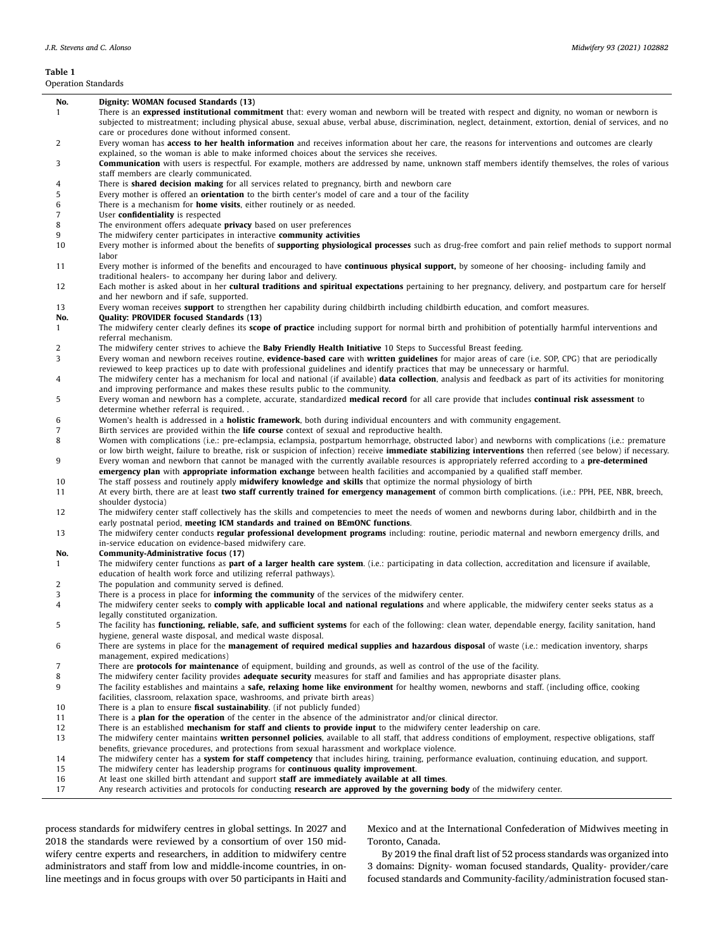# <span id="page-2-0"></span>**Table 1**

L

 $\overline{a}$ 

Operation Standards

| Dperation Standards |                                                                                                                                                                                                                                                                                                                                                                                                                                                            |
|---------------------|------------------------------------------------------------------------------------------------------------------------------------------------------------------------------------------------------------------------------------------------------------------------------------------------------------------------------------------------------------------------------------------------------------------------------------------------------------|
| No.                 | Dignity: WOMAN focused Standards (13)                                                                                                                                                                                                                                                                                                                                                                                                                      |
| $\mathbf{1}$        | There is an <b>expressed institutional commitment</b> that: every woman and newborn will be treated with respect and dignity, no woman or newborn is<br>subjected to mistreatment; including physical abuse, sexual abuse, verbal abuse, discrimination, neglect, detainment, extortion, denial of services, and no                                                                                                                                        |
| 2                   | care or procedures done without informed consent.<br>Every woman has <b>access to her health information</b> and receives information about her care, the reasons for interventions and outcomes are clearly                                                                                                                                                                                                                                               |
| 3                   | explained, so the woman is able to make informed choices about the services she receives.<br><b>Communication</b> with users is respectful. For example, mothers are addressed by name, unknown staff members identify themselves, the roles of various                                                                                                                                                                                                    |
|                     | staff members are clearly communicated.                                                                                                                                                                                                                                                                                                                                                                                                                    |
| 4<br>5              | There is <b>shared decision making</b> for all services related to pregnancy, birth and newborn care<br>Every mother is offered an <b>orientation</b> to the birth center's model of care and a tour of the facility                                                                                                                                                                                                                                       |
| 6                   | There is a mechanism for <b>home visits</b> , either routinely or as needed.                                                                                                                                                                                                                                                                                                                                                                               |
| 7                   | User confidentiality is respected                                                                                                                                                                                                                                                                                                                                                                                                                          |
| 8                   | The environment offers adequate <b>privacy</b> based on user preferences                                                                                                                                                                                                                                                                                                                                                                                   |
| 9<br>10             | The midwifery center participates in interactive community activities<br>Every mother is informed about the benefits of <b>supporting physiological processes</b> such as drug-free comfort and pain relief methods to support normal                                                                                                                                                                                                                      |
| 11                  | labor<br>Every mother is informed of the benefits and encouraged to have <b>continuous physical support</b> , by someone of her choosing- including family and<br>traditional healers- to accompany her during labor and delivery.                                                                                                                                                                                                                         |
| 12                  | Each mother is asked about in her cultural traditions and spiritual expectations pertaining to her pregnancy, delivery, and postpartum care for herself<br>and her newborn and if safe, supported.                                                                                                                                                                                                                                                         |
| 13<br>No.           | Every woman receives <b>support</b> to strengthen her capability during childbirth including childbirth education, and comfort measures.<br><b>Quality: PROVIDER focused Standards (13)</b>                                                                                                                                                                                                                                                                |
| $\mathbf{1}$        | The midwifery center clearly defines its scope of practice including support for normal birth and prohibition of potentially harmful interventions and<br>referral mechanism.                                                                                                                                                                                                                                                                              |
| 2                   | The midwifery center strives to achieve the <b>Baby Friendly Health Initiative</b> 10 Steps to Successful Breast feeding.                                                                                                                                                                                                                                                                                                                                  |
| 3                   | Every woman and newborn receives routine, evidence-based care with written guidelines for major areas of care (i.e. SOP, CPG) that are periodically<br>reviewed to keep practices up to date with professional guidelines and identify practices that may be unnecessary or harmful.                                                                                                                                                                       |
| 4                   | The midwifery center has a mechanism for local and national (if available) <b>data collection</b> , analysis and feedback as part of its activities for monitoring<br>and improving performance and makes these results public to the community.                                                                                                                                                                                                           |
| 5                   | Every woman and newborn has a complete, accurate, standardized medical record for all care provide that includes continual risk assessment to<br>determine whether referral is required                                                                                                                                                                                                                                                                    |
| 6                   | Women's health is addressed in a <b>holistic framework</b> , both during individual encounters and with community engagement.                                                                                                                                                                                                                                                                                                                              |
| 7                   | Birth services are provided within the <b>life course</b> context of sexual and reproductive health.                                                                                                                                                                                                                                                                                                                                                       |
| 8                   | Women with complications (i.e.: pre-eclampsia, eclampsia, postpartum hemorrhage, obstructed labor) and newborns with complications (i.e.: premature                                                                                                                                                                                                                                                                                                        |
| 9                   | or low birth weight, failure to breathe, risk or suspicion of infection) receive <b>immediate stabilizing interventions</b> then referred (see below) if necessary.<br>Every woman and newborn that cannot be managed with the currently available resources is appropriately referred according to a <b>pre-determined</b><br>emergency plan with appropriate information exchange between health facilities and accompanied by a qualified staff member. |
| 10                  | The staff possess and routinely apply <b>midwifery knowledge and skills</b> that optimize the normal physiology of birth                                                                                                                                                                                                                                                                                                                                   |
| 11                  | At every birth, there are at least two staff currently trained for emergency management of common birth complications. (i.e.: PPH, PEE, NBR, breech,<br>shoulder dystocia)                                                                                                                                                                                                                                                                                 |
| 12                  | The midwifery center staff collectively has the skills and competencies to meet the needs of women and newborns during labor, childbirth and in the<br>early postnatal period, meeting ICM standards and trained on BEmONC functions.                                                                                                                                                                                                                      |
| 13                  | The midwifery center conducts <b>regular professional development programs</b> including: routine, periodic maternal and newborn emergency drills, and<br>in-service education on evidence-based midwifery care.                                                                                                                                                                                                                                           |
| No.                 | Community-Administrative focus (17)                                                                                                                                                                                                                                                                                                                                                                                                                        |
| 1                   | The midwifery center functions as <b>part of a larger health care system</b> . (i.e.: participating in data collection, accreditation and licensure if available,<br>education of health work force and utilizing referral pathways).                                                                                                                                                                                                                      |
| 2                   | The population and community served is defined.                                                                                                                                                                                                                                                                                                                                                                                                            |
| 3                   | There is a process in place for <b>informing the community</b> of the services of the midwifery center.                                                                                                                                                                                                                                                                                                                                                    |
| 4                   | The midwifery center seeks to <b>comply with applicable local and national regulations</b> and where applicable, the midwifery center seeks status as a<br>legally constituted organization.                                                                                                                                                                                                                                                               |
| 5                   | The facility has <b>functioning, reliable, safe, and sufficient systems</b> for each of the following: clean water, dependable energy, facility sanitation, hand<br>hygiene, general waste disposal, and medical waste disposal.                                                                                                                                                                                                                           |
| 6                   | There are systems in place for the management of required medical supplies and hazardous disposal of waste (i.e.: medication inventory, sharps<br>management, expired medications)                                                                                                                                                                                                                                                                         |
| 7                   | There are <b>protocols for maintenance</b> of equipment, building and grounds, as well as control of the use of the facility.                                                                                                                                                                                                                                                                                                                              |
| 8                   | The midwifery center facility provides <b>adequate security</b> measures for staff and families and has appropriate disaster plans.                                                                                                                                                                                                                                                                                                                        |
| 9                   | The facility establishes and maintains a safe, relaxing home like environment for healthy women, newborns and staff. (including office, cooking                                                                                                                                                                                                                                                                                                            |
|                     | facilities, classroom, relaxation space, washrooms, and private birth areas)                                                                                                                                                                                                                                                                                                                                                                               |
| 10<br>11            | There is a plan to ensure <b>fiscal sustainability</b> . (if not publicly funded)<br>There is a <b>plan for the operation</b> of the center in the absence of the administrator and/or clinical director.                                                                                                                                                                                                                                                  |
| 12                  | There is an established <b>mechanism for staff and clients to provide input</b> to the midwifery center leadership on care.                                                                                                                                                                                                                                                                                                                                |
| 13                  | The midwifery center maintains written personnel policies, available to all staff, that address conditions of employment, respective obligations, staff<br>benefits, grievance procedures, and protections from sexual harassment and workplace violence.                                                                                                                                                                                                  |
| 14                  | The midwifery center has a system for staff competency that includes hiring, training, performance evaluation, continuing education, and support.                                                                                                                                                                                                                                                                                                          |
| 15                  | The midwifery center has leadership programs for <b>continuous quality improvement</b> .                                                                                                                                                                                                                                                                                                                                                                   |
| 16                  | At least one skilled birth attendant and support staff are immediately available at all times.                                                                                                                                                                                                                                                                                                                                                             |
| 17                  | Any research activities and protocols for conducting research are approved by the governing body of the midwifery center.                                                                                                                                                                                                                                                                                                                                  |

process standards for midwifery centres in global settings. In 2027 and 2018 the standards were reviewed by a consortium of over 150 midwifery centre experts and researchers, in addition to midwifery centre administrators and staff from low and middle-income countries, in online meetings and in focus groups with over 50 participants in Haiti and Mexico and at the International Confederation of Midwives meeting in Toronto, Canada.

By 2019 the final draft list of 52 process standards was organized into 3 domains: Dignity- woman focused standards, Quality- provider/care focused standards and Community-facility/administration focused stan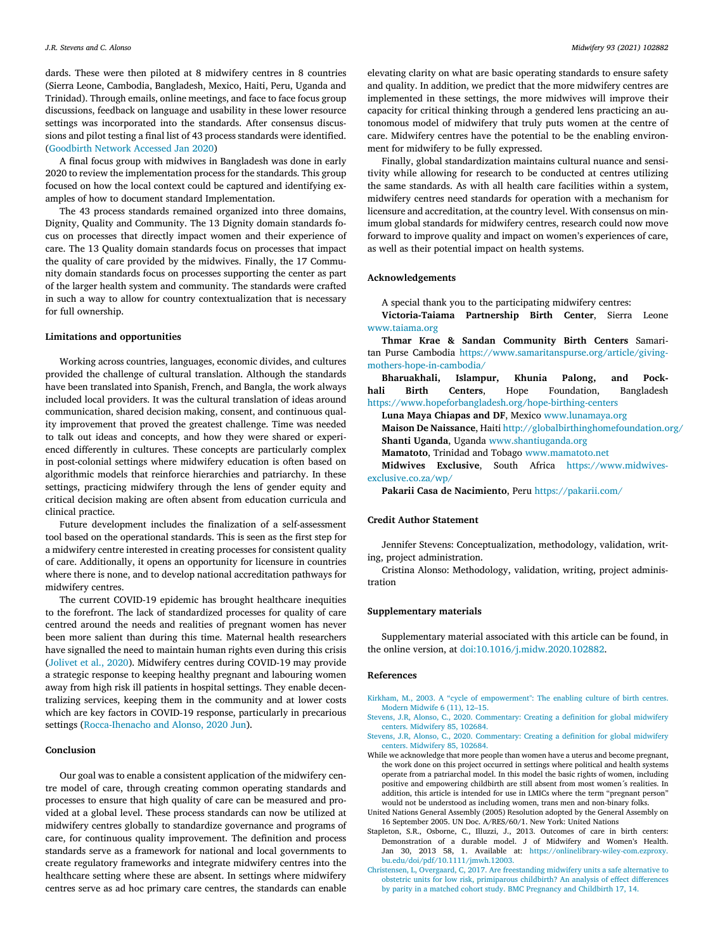<span id="page-3-0"></span>dards. These were then piloted at 8 midwifery centres in 8 countries (Sierra Leone, Cambodia, Bangladesh, Mexico, Haiti, Peru, Uganda and Trinidad). Through emails, online meetings, and face to face focus group discussions, feedback on language and usability in these lower resource settings was incorporated into the standards. After consensus discussions and pilot testing a final list of 43 process standards were identified. [\(Goodbirth](#page-4-0) Network Accessed Jan 2020)

A final focus group with midwives in Bangladesh was done in early 2020 to review the implementation process for the standards. This group focused on how the local context could be captured and identifying examples of how to document standard Implementation.

The 43 process standards remained organized into three domains, Dignity, Quality and Community. The 13 Dignity domain standards focus on processes that directly impact women and their experience of care. The 13 Quality domain standards focus on processes that impact the quality of care provided by the midwives. Finally, the 17 Community domain standards focus on processes supporting the center as part of the larger health system and community. The standards were crafted in such a way to allow for country contextualization that is necessary for full ownership.

#### **Limitations and opportunities**

Working across countries, languages, economic divides, and cultures provided the challenge of cultural translation. Although the standards have been translated into Spanish, French, and Bangla, the work always included local providers. It was the cultural translation of ideas around communication, shared decision making, consent, and continuous quality improvement that proved the greatest challenge. Time was needed to talk out ideas and concepts, and how they were shared or experienced differently in cultures. These concepts are particularly complex in post-colonial settings where midwifery education is often based on algorithmic models that reinforce hierarchies and patriarchy. In these settings, practicing midwifery through the lens of gender equity and critical decision making are often absent from education curricula and clinical practice.

Future development includes the finalization of a self-assessment tool based on the operational standards. This is seen as the first step for a midwifery centre interested in creating processes for consistent quality of care. Additionally, it opens an opportunity for licensure in countries where there is none, and to develop national accreditation pathways for midwifery centres.

The current COVID-19 epidemic has brought healthcare inequities to the forefront. The lack of standardized processes for quality of care centred around the needs and realities of pregnant women has never been more salient than during this time. Maternal health researchers have signalled the need to maintain human rights even during this crisis [\(Jolivet](#page-4-0) et al., 2020). Midwifery centres during COVID-19 may provide a strategic response to keeping healthy pregnant and labouring women away from high risk ill patients in hospital settings. They enable decentralizing services, keeping them in the community and at lower costs which are key factors in COVID-19 response, particularly in precarious settings [\(Rocca-Ihenacho](#page-4-0) and Alonso, 2020 Jun).

#### **Conclusion**

Our goal was to enable a consistent application of the midwifery centre model of care, through creating common operating standards and processes to ensure that high quality of care can be measured and provided at a global level. These process standards can now be utilized at midwifery centres globally to standardize governance and programs of care, for continuous quality improvement. The definition and process standards serve as a framework for national and local governments to create regulatory frameworks and integrate midwifery centres into the healthcare setting where these are absent. In settings where midwifery centres serve as ad hoc primary care centres, the standards can enable

elevating clarity on what are basic operating standards to ensure safety and quality. In addition, we predict that the more midwifery centres are implemented in these settings, the more midwives will improve their capacity for critical thinking through a gendered lens practicing an autonomous model of midwifery that truly puts women at the centre of care. Midwifery centres have the potential to be the enabling environment for midwifery to be fully expressed.

Finally, global standardization maintains cultural nuance and sensitivity while allowing for research to be conducted at centres utilizing the same standards. As with all health care facilities within a system, midwifery centres need standards for operation with a mechanism for licensure and accreditation, at the country level. With consensus on minimum global standards for midwifery centres, research could now move forward to improve quality and impact on women's experiences of care, as well as their potential impact on health systems.

#### **Acknowledgements**

A special thank you to the participating midwifery centres:

**Victoria-Taiama Partnership Birth Center**, Sierra Leone [www.taiama.org](http://www.taiama.org)

**Thmar Krae & Sandan Community Birth Centers** Samaritan Purse Cambodia [https://www.samaritanspurse.org/article/giving](https://www.samaritanspurse.org/article/giving-mothers-hope-in-cambodia/)mothers-hope-in-cambodia/

**Bharuakhali, Islampur, Khunia Palong, and Pockhali Birth Centers**, Hope Foundation, Bangladesh <https://www.hopeforbangladesh.org/hope-birthing-centers>

**Luna Maya Chiapas and DF**, Mexico [www.lunamaya.org](http://www.lunamaya.org) **Maison De Naissance**, Haiti <http://globalbirthinghomefoundation.org/> **Shanti Uganda**, Uganda [www.shantiuganda.org](http://www.shantiuganda.org)

**Mamatoto**, Trinidad and Tobago [www.mamatoto.net](http://www.mamatoto.net) **Midwives Exclusive**, South Africa [https://www.midwives](https://www.midwives-exclusive.co.za/wp/)exclusive.co.za/wp/

**Pakarii Casa de Nacimiento**, Peru <https://pakarii.com/>

#### **Credit Author Statement**

Jennifer Stevens: Conceptualization, methodology, validation, writing, project administration.

Cristina Alonso: Methodology, validation, writing, project administration

#### **Supplementary materials**

Supplementary material associated with this article can be found, in the online version, at [doi:10.1016/j.midw.2020.102882.](https://doi.org/10.1016/j.midw.2020.102882)

#### **References**

- [Kirkham,](http://refhub.elsevier.com/S0266-6138(20)30254-0/sbref0001) M., 2003. A "cycle of [empowerment":](http://refhub.elsevier.com/S0266-6138(20)30254-0/sbref0001) The enabling culture of birth centres. Modern Midwife 6 (11), 12–15.
- [Stevens,](http://refhub.elsevier.com/S0266-6138(20)30254-0/sbref0002) J.R, [Alonso,](http://refhub.elsevier.com/S0266-6138(20)30254-0/sbref0002) C., 2020. [Commentary:](http://refhub.elsevier.com/S0266-6138(20)30254-0/sbref0002) Creating a definition for global midwifery centers. Midwifery 85, 102684.
- [Stevens,](http://refhub.elsevier.com/S0266-6138(20)30254-0/sbref0003) J.R, [Alonso,](http://refhub.elsevier.com/S0266-6138(20)30254-0/sbref0003) C., 2020. [Commentary:](http://refhub.elsevier.com/S0266-6138(20)30254-0/sbref0003) Creating a definition for global midwifery centers. Midwifery 85, 102684.
- While we acknowledge that more people than women have a uterus and become pregnant, the work done on this project occurred in settings where political and health systems operate from a patriarchal model. In this model the basic rights of women, including positive and empowering childbirth are still absent from most women´s realities. In addition, this article is intended for use in LMICs where the term "pregnant person" would not be understood as including women, trans men and non-binary folks.
- United Nations General Assembly (2005) Resolution adopted by the General Assembly on 16 September 2005. UN Doc. A/RES/60/1. New York: United Nations
- Stapleton, S.R., Osborne, C., Illuzzi, J., 2013. Outcomes of care in birth centers: Demonstration of a durable model. J of Midwifery and Women's Health. Jan 30, 2013 58, 1. Available at: [https://onlinelibrary-wiley-com.ezproxy.](https://onlinelibrary-wiley-com.ezproxy.bu.edu/doi/pdf/10.1111/jmwh.12003) bu.edu/doi/pdf/10.1111/jmwh.12003.
- [Christensen,](http://refhub.elsevier.com/S0266-6138(20)30254-0/sbref0007) L, [Overgaard,](http://refhub.elsevier.com/S0266-6138(20)30254-0/sbref0007) C, 2017. Are [freestanding](http://refhub.elsevier.com/S0266-6138(20)30254-0/sbref0007) midwifery units a safe alternative to obstetric units for low risk, primiparous childbirth? An analysis of effect differences by parity in a matched cohort study. BMC Pregnancy and Childbirth 17, 14.